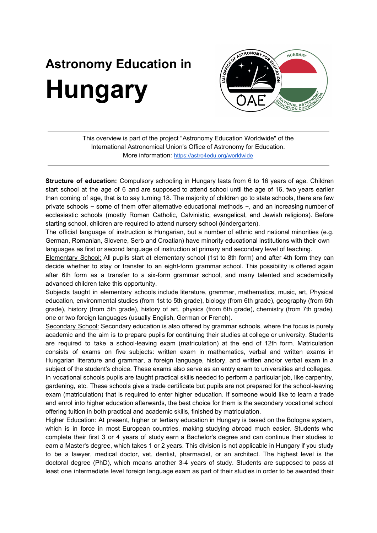## **Astronomy Education in Hungary**



This overview is part of the project "Astronomy Education Worldwide" of the International Astronomical Union's Office of Astronomy for Education. More information: <https://astro4edu.org/worldwide>

**Structure of education:** Compulsory schooling in Hungary lasts from 6 to 16 years of age. Children start school at the age of 6 and are supposed to attend school until the age of 16, two years earlier than coming of age, that is to say turning 18. The majority of children go to state schools, there are few private schools − some of them offer alternative educational methods −, and an increasing number of ecclesiastic schools (mostly Roman Catholic, Calvinistic, evangelical, and Jewish religions). Before starting school, children are required to attend nursery school (kindergarten).

The official language of instruction is Hungarian, but a number of ethnic and national minorities (e.g. German, Romanian, Slovene, Serb and Croatian) have minority educational institutions with their own languages as first or second language of instruction at primary and secondary level of teaching.

Elementary School: All pupils start at elementary school (1st to 8th form) and after 4th form they can decide whether to stay or transfer to an eight-form grammar school. This possibility is offered again after 6th form as a transfer to a six-form grammar school, and many talented and academically advanced children take this opportunity.

Subjects taught in elementary schools include literature, grammar, mathematics, music, art, Physical education, environmental studies (from 1st to 5th grade), biology (from 6th grade), geography (from 6th grade), history (from 5th grade), history of art, physics (from 6th grade), chemistry (from 7th grade), one or two foreign languages (usually English, German or French).

Secondary School: Secondary education is also offered by grammar schools, where the focus is purely academic and the aim is to prepare pupils for continuing their studies at college or university. Students are required to take a school-leaving exam (matriculation) at the end of 12th form. Matriculation consists of exams on five subjects: written exam in mathematics, verbal and written exams in Hungarian literature and grammar, a foreign language, history, and written and/or verbal exam in a subject of the student's choice. These exams also serve as an entry exam to universities and colleges. In vocational schools pupils are taught practical skills needed to perform a particular job, like carpentry, gardening, etc. These schools give a trade certificate but pupils are not prepared for the school-leaving

exam (matriculation) that is required to enter higher education. If someone would like to learn a trade and enrol into higher education afterwards, the best choice for them is the secondary vocational school offering tuition in both practical and academic skills, finished by matriculation.

Higher Education: At present, higher or tertiary education in Hungary is based on the Bologna system, which is in force in most European countries, making studying abroad much easier. Students who complete their first 3 or 4 years of study earn a Bachelor's degree and can continue their studies to earn a Master's degree, which takes 1 or 2 years. This division is not applicable in Hungary if you study to be a lawyer, medical doctor, vet, dentist, pharmacist, or an architect. The highest level is the doctoral degree (PhD), which means another 3-4 years of study. Students are supposed to pass at least one intermediate level foreign language exam as part of their studies in order to be awarded their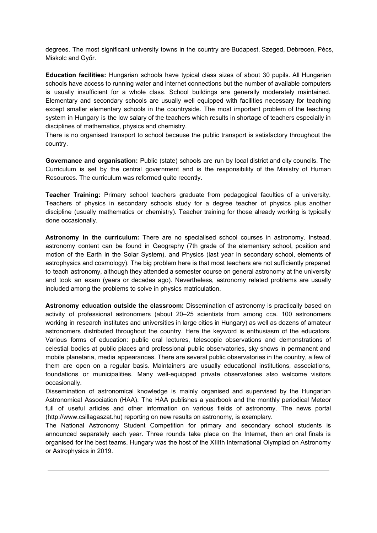degrees. The most significant university towns in the country are Budapest, Szeged, Debrecen, Pécs, Miskolc and Győr.

**Education facilities:** Hungarian schools have typical class sizes of about 30 pupils. All Hungarian schools have access to running water and internet connections but the number of available computers is usually insufficient for a whole class. School buildings are generally moderately maintained. Elementary and secondary schools are usually well equipped with facilities necessary for teaching except smaller elementary schools in the countryside. The most important problem of the teaching system in Hungary is the low salary of the teachers which results in shortage of teachers especially in disciplines of mathematics, physics and chemistry.

There is no organised transport to school because the public transport is satisfactory throughout the country.

**Governance and organisation:** Public (state) schools are run by local district and city councils. The Curriculum is set by the central government and is the responsibility of the Ministry of Human Resources. The curriculum was reformed quite recently.

**Teacher Training:** Primary school teachers graduate from pedagogical faculties of a university. Teachers of physics in secondary schools study for a degree teacher of physics plus another discipline (usually mathematics or chemistry). Teacher training for those already working is typically done occasionally.

**Astronomy in the curriculum:** There are no specialised school courses in astronomy. Instead, astronomy content can be found in Geography (7th grade of the elementary school, position and motion of the Earth in the Solar System), and Physics (last year in secondary school, elements of astrophysics and cosmology). The big problem here is that most teachers are not sufficiently prepared to teach astronomy, although they attended a semester course on general astronomy at the university and took an exam (years or decades ago). Nevertheless, astronomy related problems are usually included among the problems to solve in physics matriculation.

**Astronomy education outside the classroom:** Dissemination of astronomy is practically based on activity of professional astronomers (about 20–25 scientists from among cca. 100 astronomers working in research institutes and universities in large cities in Hungary) as well as dozens of amateur astronomers distributed throughout the country. Here the keyword is enthusiasm of the educators. Various forms of education: public oral lectures, telescopic observations and demonstrations of celestial bodies at public places and professional public observatories, sky shows in permanent and mobile planetaria, media appearances. There are several public observatories in the country, a few of them are open on a regular basis. Maintainers are usually educational institutions, associations, foundations or municipalities. Many well-equipped private observatories also welcome visitors occasionally.

Dissemination of astronomical knowledge is mainly organised and supervised by the Hungarian Astronomical Association (HAA). The HAA publishes a yearbook and the monthly periodical Meteor full of useful articles and other information on various fields of astronomy. The news portal (http://www.csillagaszat.hu) reporting on new results on astronomy, is exemplary.

The National Astronomy Student Competition for primary and secondary school students is announced separately each year. Three rounds take place on the Internet, then an oral finals is organised for the best teams. Hungary was the host of the XIIIth International Olympiad on Astronomy or Astrophysics in 2019.